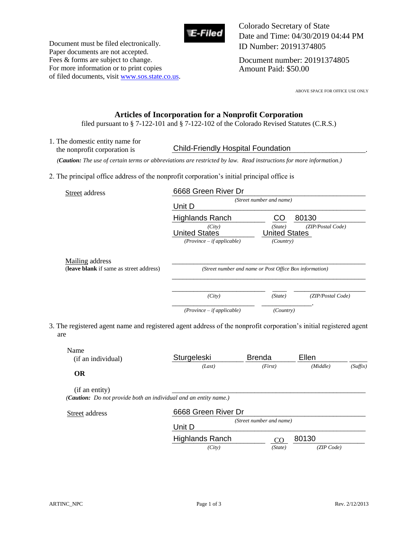

Document must be filed electronically. Paper documents are not accepted. Fees & forms are subject to change. For more information or to print copies of filed documents, visit www.sos.state.co.us. Colorado Secretary of State Date and Time: 04/30/2019 04:44 PM ID Number: 20191374805

Document number: 20191374805 Amount Paid: \$50.00

ABOVE SPACE FOR OFFICE USE ONLY

## **Articles of Incorporation for a Nonprofit Corporation**

filed pursuant to § 7-122-101 and § 7-122-102 of the Colorado Revised Statutes (C.R.S.)

1. The domestic entity name for the nonprofit corporation is **Child-Friendly Hospital Foundation** 

 *(Caution: The use of certain terms or abbreviations are restricted by law. Read instructions for more information.)*

2. The principal office address of the nonprofit corporation's initial principal office is

| Street address                          | 6668 Green River Dr                                      |                                       |                            |  |
|-----------------------------------------|----------------------------------------------------------|---------------------------------------|----------------------------|--|
|                                         | Unit D                                                   | (Street number and name)              |                            |  |
|                                         | <b>Highlands Ranch</b><br>(City)<br><b>United States</b> | CO<br>(State)<br><b>United States</b> | 80130<br>(ZIP/Postal Code) |  |
|                                         | $(Province - if applicable)$                             | (Country)                             |                            |  |
| Mailing address                         |                                                          |                                       |                            |  |
| (leave blank if same as street address) | (Street number and name or Post Office Box information)  |                                       |                            |  |
|                                         | (City)                                                   | (State)                               | (ZIP/Postal Code)          |  |
|                                         |                                                          |                                       |                            |  |

3. The registered agent name and registered agent address of the nonprofit corporation's initial registered agent are

| Name<br>(if an individual) | Sturgeleski                                                              | <b>Brenda</b>            | Ellen    |          |
|----------------------------|--------------------------------------------------------------------------|--------------------------|----------|----------|
|                            | (Last)                                                                   | (First)                  | (Middle) | (Suffix) |
| <b>OR</b>                  |                                                                          |                          |          |          |
| (if an entity)             |                                                                          |                          |          |          |
|                            |                                                                          |                          |          |          |
|                            | ( <b>Caution:</b> Do not provide both an individual and an entity name.) |                          |          |          |
|                            | 6668 Green River Dr                                                      |                          |          |          |
| Street address             |                                                                          | (Street number and name) |          |          |
|                            | Unit D                                                                   |                          |          |          |

 *(City) (State) (ZIP Code)*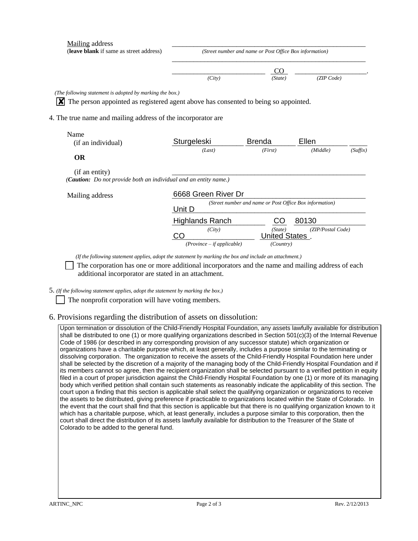| (Street number and name or Post Office Box information) |                                                                                                                                                                                                                      |                     |                                                                                                                                                |  |
|---------------------------------------------------------|----------------------------------------------------------------------------------------------------------------------------------------------------------------------------------------------------------------------|---------------------|------------------------------------------------------------------------------------------------------------------------------------------------|--|
|                                                         | CO                                                                                                                                                                                                                   |                     |                                                                                                                                                |  |
| (City)                                                  | (State)                                                                                                                                                                                                              |                     |                                                                                                                                                |  |
|                                                         |                                                                                                                                                                                                                      |                     |                                                                                                                                                |  |
|                                                         |                                                                                                                                                                                                                      |                     |                                                                                                                                                |  |
|                                                         |                                                                                                                                                                                                                      |                     |                                                                                                                                                |  |
|                                                         |                                                                                                                                                                                                                      |                     |                                                                                                                                                |  |
|                                                         |                                                                                                                                                                                                                      |                     |                                                                                                                                                |  |
| Sturgeleski                                             | <b>Brenda</b>                                                                                                                                                                                                        | Ellen               |                                                                                                                                                |  |
| (Last)                                                  | (First)                                                                                                                                                                                                              | (Middle)            | (Suffix)                                                                                                                                       |  |
|                                                         |                                                                                                                                                                                                                      |                     |                                                                                                                                                |  |
|                                                         |                                                                                                                                                                                                                      |                     |                                                                                                                                                |  |
|                                                         |                                                                                                                                                                                                                      |                     |                                                                                                                                                |  |
|                                                         |                                                                                                                                                                                                                      |                     |                                                                                                                                                |  |
| (Street number and name or Post Office Box information) |                                                                                                                                                                                                                      |                     |                                                                                                                                                |  |
|                                                         |                                                                                                                                                                                                                      |                     |                                                                                                                                                |  |
| <b>Highlands Ranch</b>                                  | CO                                                                                                                                                                                                                   | 80130               |                                                                                                                                                |  |
| (City)                                                  | (State)                                                                                                                                                                                                              |                     |                                                                                                                                                |  |
| $(Province - if applicable)$                            | (Country)                                                                                                                                                                                                            |                     |                                                                                                                                                |  |
|                                                         | (The following statement is adopted by marking the box.)<br>4. The true name and mailing address of the incorporator are<br>( <b>Caution:</b> Do not provide both an individual and an entity name.)<br>Unit D<br>CO | 6668 Green River Dr | (ZIP Code)<br>The person appointed as registered agent above has consented to being so appointed.<br>(ZIP/Postal Code)<br><b>United States</b> |  |

*(If the following statement applies, adopt the statement by marking the box and include an attachment.)* 

 The corporation has one or more additional incorporators and the name and mailing address of each additional incorporator are stated in an attachment.

5. *(If the following statement applies, adopt the statement by marking the box.)* 

The nonprofit corporation will have voting members.

## 6. Provisions regarding the distribution of assets on dissolution:

Upon termination or dissolution of the Child-Friendly Hospital Foundation, any assets lawfully available for distribution shall be distributed to one (1) or more qualifying organizations described in Section 501(c)(3) of the Internal Revenue Code of 1986 (or described in any corresponding provision of any successor statute) which organization or organizations have a charitable purpose which, at least generally, includes a purpose similar to the terminating or dissolving corporation. The organization to receive the assets of the Child-Friendly Hospital Foundation here under shall be selected by the discretion of a majority of the managing body of the Child-Friendly Hospital Foundation and if its members cannot so agree, then the recipient organization shall be selected pursuant to a verified petition in equity filed in a court of proper jurisdiction against the Child-Friendly Hospital Foundation by one (1) or more of its managing body which verified petition shall contain such statements as reasonably indicate the applicability of this section. The court upon a finding that this section is applicable shall select the qualifying organization or organizations to receive the assets to be distributed, giving preference if practicable to organizations located within the State of Colorado. In the event that the court shall find that this section is applicable but that there is no qualifying organization known to it which has a charitable purpose, which, at least generally, includes a purpose similar to this corporation, then the court shall direct the distribution of its assets lawfully available for distribution to the Treasurer of the State of Colorado to be added to the general fund.